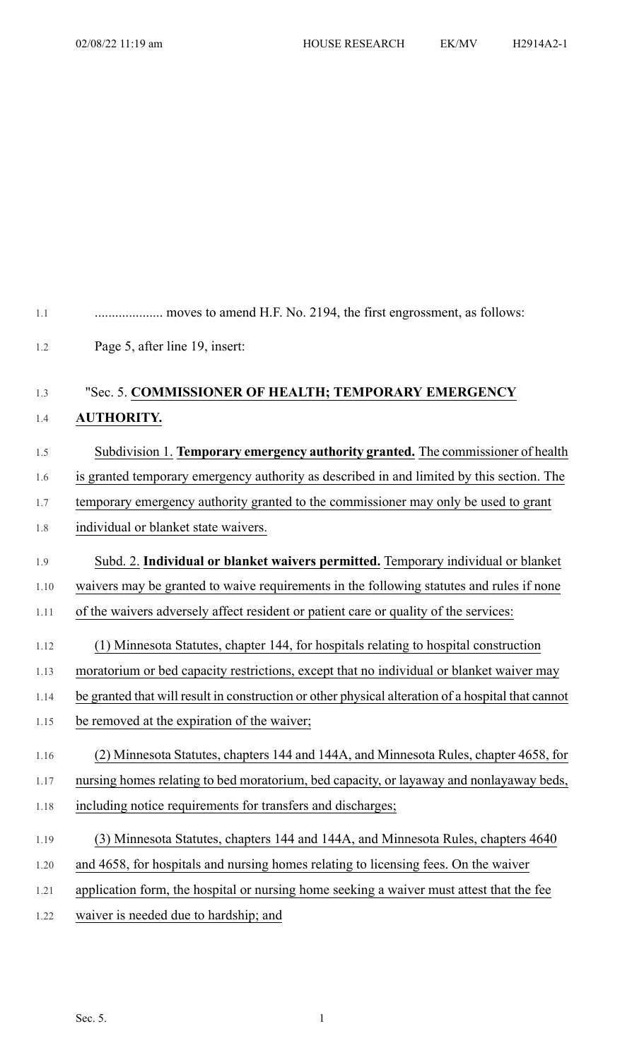| 1.1  |                                                                                                    |
|------|----------------------------------------------------------------------------------------------------|
| 1.2  | Page 5, after line 19, insert:                                                                     |
| 1.3  | "Sec. 5. COMMISSIONER OF HEALTH; TEMPORARY EMERGENCY                                               |
| 1.4  | <b>AUTHORITY.</b>                                                                                  |
| 1.5  | Subdivision 1. Temporary emergency authority granted. The commissioner of health                   |
| 1.6  | is granted temporary emergency authority as described in and limited by this section. The          |
| 1.7  | temporary emergency authority granted to the commissioner may only be used to grant                |
| 1.8  | individual or blanket state waivers.                                                               |
| 1.9  | Subd. 2. Individual or blanket waivers permitted. Temporary individual or blanket                  |
| 1.10 | waivers may be granted to waive requirements in the following statutes and rules if none           |
| 1.11 | of the waivers adversely affect resident or patient care or quality of the services:               |
| 1.12 | (1) Minnesota Statutes, chapter 144, for hospitals relating to hospital construction               |
| 1.13 | moratorium or bed capacity restrictions, except that no individual or blanket waiver may           |
| 1.14 | be granted that will result in construction or other physical alteration of a hospital that cannot |
| 1.15 | be removed at the expiration of the waiver;                                                        |
| 1.16 | (2) Minnesota Statutes, chapters 144 and 144A, and Minnesota Rules, chapter 4658, for              |
| 1.17 | nursing homes relating to bed moratorium, bed capacity, or layaway and nonlayaway beds,            |
| 1.18 | including notice requirements for transfers and discharges;                                        |
| 1.19 | (3) Minnesota Statutes, chapters 144 and 144A, and Minnesota Rules, chapters 4640                  |
| 1.20 | and 4658, for hospitals and nursing homes relating to licensing fees. On the waiver                |
| 1.21 | application form, the hospital or nursing home seeking a waiver must attest that the fee           |
| 1.22 | waiver is needed due to hardship; and                                                              |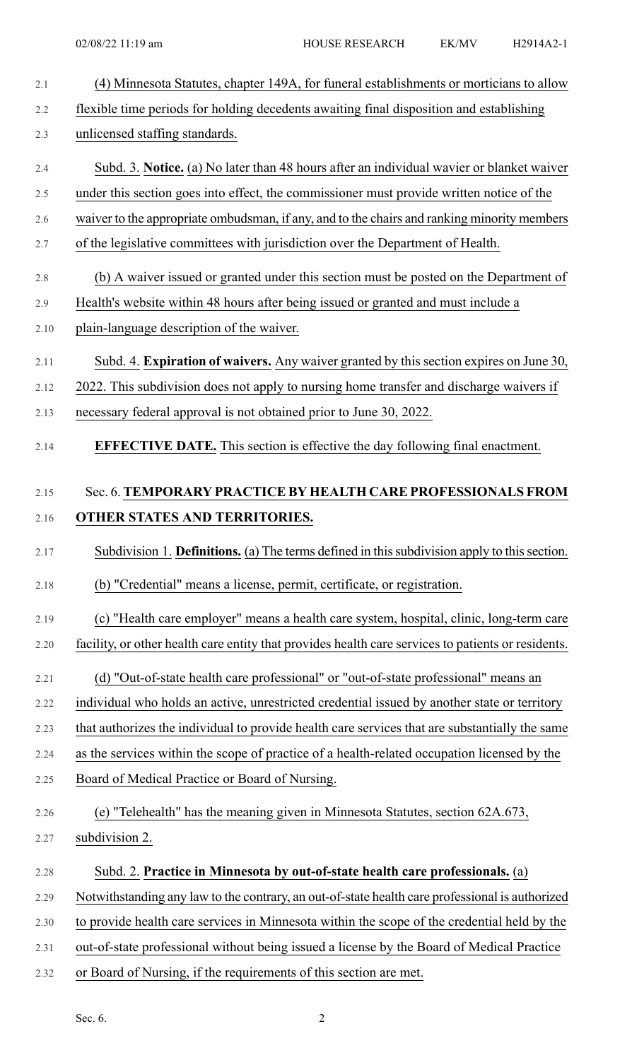| 2.1  | (4) Minnesota Statutes, chapter 149A, for funeral establishments or morticians to allow            |
|------|----------------------------------------------------------------------------------------------------|
| 2.2  | flexible time periods for holding decedents awaiting final disposition and establishing            |
| 2.3  | unlicensed staffing standards.                                                                     |
| 2.4  | Subd. 3. Notice. (a) No later than 48 hours after an individual wavier or blanket waiver           |
| 2.5  | under this section goes into effect, the commissioner must provide written notice of the           |
| 2.6  | waiver to the appropriate ombudsman, if any, and to the chairs and ranking minority members        |
| 2.7  | of the legislative committees with jurisdiction over the Department of Health.                     |
| 2.8  | (b) A waiver issued or granted under this section must be posted on the Department of              |
| 2.9  | Health's website within 48 hours after being issued or granted and must include a                  |
| 2.10 | plain-language description of the waiver.                                                          |
| 2.11 | Subd. 4. Expiration of waivers. Any waiver granted by this section expires on June 30,             |
| 2.12 | 2022. This subdivision does not apply to nursing home transfer and discharge waivers if            |
| 2.13 | necessary federal approval is not obtained prior to June 30, 2022.                                 |
| 2.14 | <b>EFFECTIVE DATE.</b> This section is effective the day following final enactment.                |
|      |                                                                                                    |
| 2.15 | Sec. 6. TEMPORARY PRACTICE BY HEALTH CARE PROFESSIONALS FROM                                       |
| 2.16 | OTHER STATES AND TERRITORIES.                                                                      |
| 2.17 | Subdivision 1. Definitions. (a) The terms defined in this subdivision apply to this section.       |
| 2.18 | (b) "Credential" means a license, permit, certificate, or registration.                            |
| 2.19 | (c) "Health care employer" means a health care system, hospital, clinic, long-term care            |
| 2.20 | facility, or other health care entity that provides health care services to patients or residents. |
| 2.21 | (d) "Out-of-state health care professional" or "out-of-state professional" means an                |
| 2.22 | individual who holds an active, unrestricted credential issued by another state or territory       |
| 2.23 | that authorizes the individual to provide health care services that are substantially the same     |
| 2.24 | as the services within the scope of practice of a health-related occupation licensed by the        |
| 2.25 | Board of Medical Practice or Board of Nursing.                                                     |
| 2.26 | (e) "Telehealth" has the meaning given in Minnesota Statutes, section 62A.673,                     |
| 2.27 | subdivision 2.                                                                                     |
| 2.28 | Subd. 2. Practice in Minnesota by out-of-state health care professionals. (a)                      |
| 2.29 | Notwithstanding any law to the contrary, an out-of-state health care professional is authorized    |
| 2.30 | to provide health care services in Minnesota within the scope of the credential held by the        |
| 2.31 | out-of-state professional without being issued a license by the Board of Medical Practice          |
| 2.32 | or Board of Nursing, if the requirements of this section are met.                                  |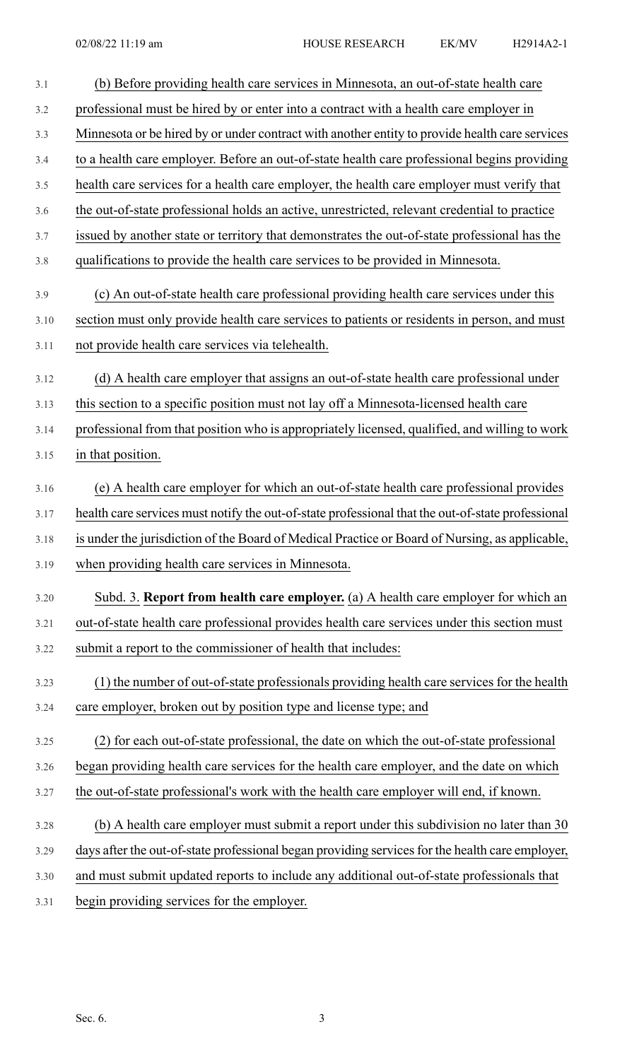| 3.1  | (b) Before providing health care services in Minnesota, an out-of-state health care               |
|------|---------------------------------------------------------------------------------------------------|
| 3.2  | professional must be hired by or enter into a contract with a health care employer in             |
| 3.3  | Minnesota or be hired by or under contract with another entity to provide health care services    |
| 3.4  | to a health care employer. Before an out-of-state health care professional begins providing       |
| 3.5  | health care services for a health care employer, the health care employer must verify that        |
| 3.6  | the out-of-state professional holds an active, unrestricted, relevant credential to practice      |
| 3.7  | issued by another state or territory that demonstrates the out-of-state professional has the      |
| 3.8  | qualifications to provide the health care services to be provided in Minnesota.                   |
| 3.9  | (c) An out-of-state health care professional providing health care services under this            |
| 3.10 | section must only provide health care services to patients or residents in person, and must       |
| 3.11 | not provide health care services via telehealth.                                                  |
| 3.12 | (d) A health care employer that assigns an out-of-state health care professional under            |
| 3.13 | this section to a specific position must not lay off a Minnesota-licensed health care             |
| 3.14 | professional from that position who is appropriately licensed, qualified, and willing to work     |
| 3.15 | in that position.                                                                                 |
| 3.16 | (e) A health care employer for which an out-of-state health care professional provides            |
| 3.17 | health care services must notify the out-of-state professional that the out-of-state professional |
| 3.18 | is under the jurisdiction of the Board of Medical Practice or Board of Nursing, as applicable,    |
| 3.19 | when providing health care services in Minnesota.                                                 |
| 3.20 | Subd. 3. Report from health care employer. (a) A health care employer for which an                |
| 3.21 | out-of-state health care professional provides health care services under this section must       |
| 3.22 | submit a report to the commissioner of health that includes:                                      |
| 3.23 | (1) the number of out-of-state professionals providing health care services for the health        |
| 3.24 | care employer, broken out by position type and license type; and                                  |
| 3.25 | (2) for each out-of-state professional, the date on which the out-of-state professional           |
| 3.26 | began providing health care services for the health care employer, and the date on which          |
| 3.27 | the out-of-state professional's work with the health care employer will end, if known.            |
| 3.28 | (b) A health care employer must submit a report under this subdivision no later than 30           |
| 3.29 | days after the out-of-state professional began providing services for the health care employer,   |
| 3.30 | and must submit updated reports to include any additional out-of-state professionals that         |
| 3.31 | begin providing services for the employer.                                                        |